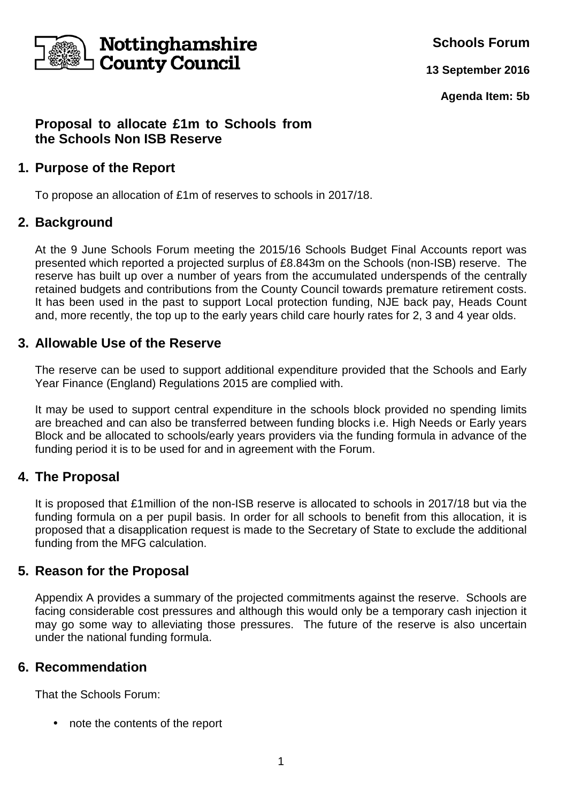

**Schools Forum**

**13 September 2016**

**Agenda Item: 5b**

# **Proposal to allocate £1m to Schools from the Schools Non ISB Reserve**

## **1. Purpose of the Report**

To propose an allocation of £1m of reserves to schools in 2017/18.

## **2. Background**

At the 9 June Schools Forum meeting the 2015/16 Schools Budget Final Accounts report was presented which reported a projected surplus of £8.843m on the Schools (non-ISB) reserve. The reserve has built up over a number of years from the accumulated underspends of the centrally retained budgets and contributions from the County Council towards premature retirement costs. It has been used in the past to support Local protection funding, NJE back pay, Heads Count and, more recently, the top up to the early years child care hourly rates for 2, 3 and 4 year olds.

### **3. Allowable Use of the Reserve**

The reserve can be used to support additional expenditure provided that the Schools and Early Year Finance (England) Regulations 2015 are complied with.

It may be used to support central expenditure in the schools block provided no spending limits are breached and can also be transferred between funding blocks i.e. High Needs or Early years Block and be allocated to schools/early years providers via the funding formula in advance of the funding period it is to be used for and in agreement with the Forum.

### **4. The Proposal**

It is proposed that £1million of the non-ISB reserve is allocated to schools in 2017/18 but via the funding formula on a per pupil basis. In order for all schools to benefit from this allocation, it is proposed that a disapplication request is made to the Secretary of State to exclude the additional funding from the MFG calculation.

### **5. Reason for the Proposal**

Appendix A provides a summary of the projected commitments against the reserve. Schools are facing considerable cost pressures and although this would only be a temporary cash injection it may go some way to alleviating those pressures. The future of the reserve is also uncertain under the national funding formula.

### **6. Recommendation**

That the Schools Forum:

• note the contents of the report